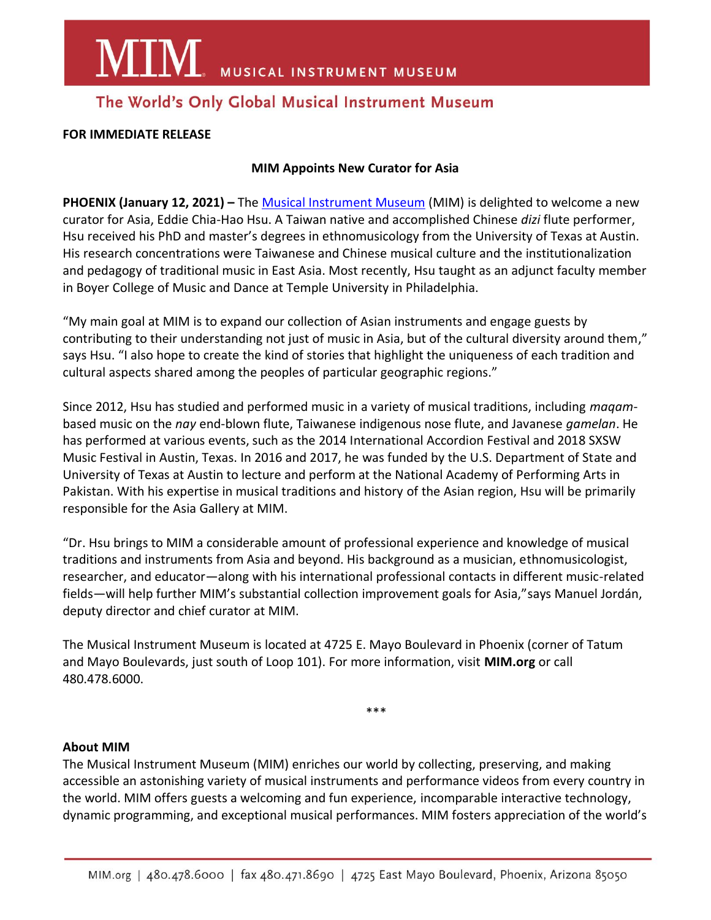**MIM** MUSICAL INSTRUMENT MUSEUM

### The World's Only Global Musical Instrument Museum

#### **FOR IMMEDIATE RELEASE**

#### **MIM Appoints New Curator for Asia**

**PHOENIX (January 12, 2021) –** The [Musical Instrument Museum](https://mim.org/) (MIM) is delighted to welcome a new curator for Asia, Eddie Chia-Hao Hsu. A Taiwan native and accomplished Chinese *dizi* flute performer, Hsu received his PhD and master's degrees in ethnomusicology from the University of Texas at Austin. His research concentrations were Taiwanese and Chinese musical culture and the institutionalization and pedagogy of traditional music in East Asia. Most recently, Hsu taught as an adjunct faculty member in Boyer College of Music and Dance at Temple University in Philadelphia.

"My main goal at MIM is to expand our collection of Asian instruments and engage guests by contributing to their understanding not just of music in Asia, but of the cultural diversity around them," says Hsu. "I also hope to create the kind of stories that highlight the uniqueness of each tradition and cultural aspects shared among the peoples of particular geographic regions."

Since 2012, Hsu has studied and performed music in a variety of musical traditions, including *maqam*based music on the *nay* end-blown flute, Taiwanese indigenous nose flute, and Javanese *gamelan*. He has performed at various events, such as the 2014 International Accordion Festival and 2018 SXSW Music Festival in Austin, Texas. In 2016 and 2017, he was funded by the U.S. Department of State and University of Texas at Austin to lecture and perform at the National Academy of Performing Arts in Pakistan. With his expertise in musical traditions and history of the Asian region, Hsu will be primarily responsible for the Asia Gallery at MIM.

"Dr. Hsu brings to MIM a considerable amount of professional experience and knowledge of musical traditions and instruments from Asia and beyond. His background as a musician, ethnomusicologist, researcher, and educator—along with his international professional contacts in different music-related fields—will help further MIM's substantial collection improvement goals for Asia,"says Manuel Jordán, deputy director and chief curator at MIM.

The Musical Instrument Museum is located at 4725 E. Mayo Boulevard in Phoenix (corner of Tatum and Mayo Boulevards, just south of Loop 101). For more information, visit **MIM.org** or call 480.478.6000.

\*\*\*

#### **About MIM**

The Musical Instrument Museum (MIM) enriches our world by collecting, preserving, and making accessible an astonishing variety of musical instruments and performance videos from every country in the world. MIM offers guests a welcoming and fun experience, incomparable interactive technology, dynamic programming, and exceptional musical performances. MIM fosters appreciation of the world's